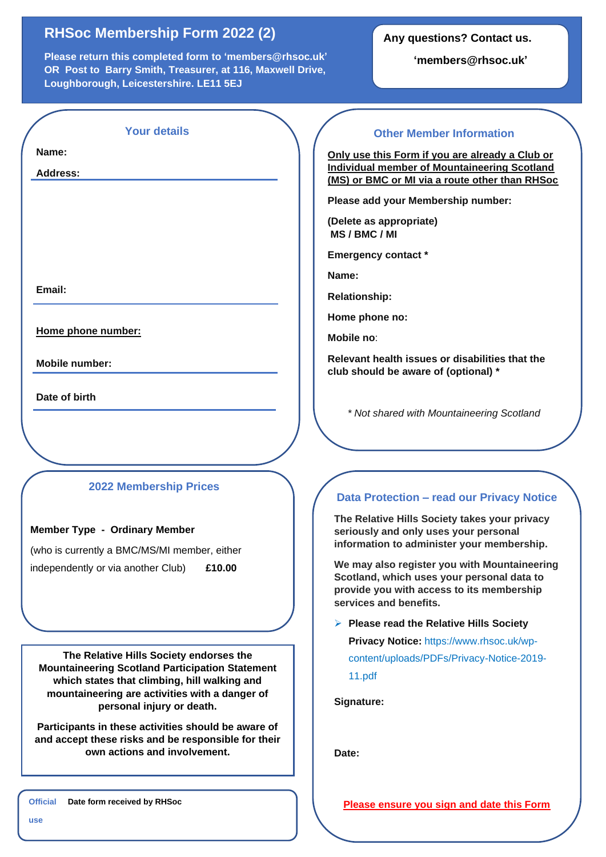# **RHSoc Membership Form 2022 (2)**

**Please return this completed form to 'members@rhsoc.uk' OR Post to Barry Smith, Treasurer, at 116, Maxwell Drive, Loughborough, Leicestershire. LE11 5EJ**

**Any questions? Contact us.**

**'members@rhsoc.uk'**

| <b>Your details</b> |  |  |  |
|---------------------|--|--|--|
|                     |  |  |  |
|                     |  |  |  |

**Name:** 

**Address:**

**Email:**

**Home phone number:** 

**Mobile number:**

**Date of birth**

## **2022 Membership Prices**

#### **Member Type - Ordinary Member**

(who is currently a BMC/MS/MI member, either independently or via another Club) **£10.00**

**The Relative Hills Society endorses the Mountaineering Scotland Participation Statement which states that climbing, hill walking and mountaineering are activities with a danger of personal injury or death.**

**Participants in these activities should be aware of and accept these risks and be responsible for their own actions and involvement.**

### **Other Member Information**

**Only use this Form if you are already a Club or Individual member of Mountaineering Scotland (MS) or BMC or MI via a route other than RHSoc**

**Please add your Membership number:** 

**(Delete as appropriate) MS / BMC / MI** 

**Emergency contact \***

**Name:**

**Relationship:**

**Home phone no:**

**Mobile no**:

**Relevant health issues or disabilities that the club should be aware of (optional) \***

*\* Not shared with Mountaineering Scotland*

## **Data Protection – read our Privacy Notice**

**The Relative Hills Society takes your privacy seriously and only uses your personal information to administer your membership.**

**We may also register you with Mountaineering Scotland, which uses your personal data to provide you with access to its membership services and benefits.**

➢ **Please read the Relative Hills Society** 

**Privacy Notice:** https://www.rhsoc.uk/wp-

content/uploads/PDFs/Privacy-Notice-2019- 11.pdf

**Signature:**

**Date:**

**Official Date form received by RHSoc**

**Please ensure you sign and date this Form**